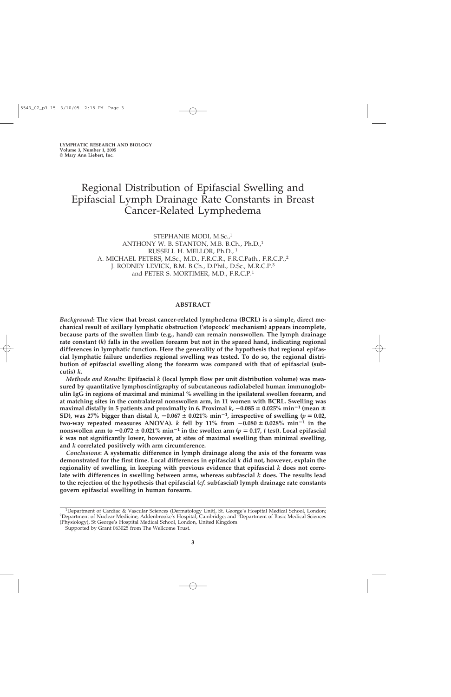# Regional Distribution of Epifascial Swelling and Epifascial Lymph Drainage Rate Constants in Breast Cancer-Related Lymphedema

STEPHANIE MODI, M.Sc.,<sup>1</sup> ANTHONY W. B. STANTON, M.B. B.Ch., Ph.D.,<sup>1</sup> RUSSELL H. MELLOR, Ph.D., <sup>1</sup> A. MICHAEL PETERS, M.Sc., M.D., F.R.C.R., F.R.C.Path., F.R.C.P.,<sup>2</sup> J. RODNEY LEVICK, B.M. B.Ch., D.Phil., D.Sc., M.R.C.P.<sup>3</sup> and PETER S. MORTIMER, M.D., F.R.C.P.<sup>1</sup>

#### **ABSTRACT**

*Background***: The view that breast cancer-related lymphedema (BCRL) is a simple, direct mechanical result of axillary lymphatic obstruction ('stopcock' mechanism) appears incomplete, because parts of the swollen limb (e.g., hand) can remain nonswollen. The lymph drainage rate constant (***k***) falls in the swollen forearm but not in the spared hand, indicating regional differences in lymphatic function. Here the generality of the hypothesis that regional epifascial lymphatic failure underlies regional swelling was tested. To do so, the regional distribution of epifascial swelling along the forearm was compared with that of epifascial (subcutis)** *k***.**

*Methods and Results***: Epifascial** *k* **(local lymph flow per unit distribution volume) was measured by quantitative lymphoscintigraphy of subcutaneous radiolabeled human immunoglobulin IgG in regions of maximal and minimal % swelling in the ipsilateral swollen forearm, and at matching sites in the contralateral nonswollen arm, in 11 women with BCRL. Swelling was maximal distally in 5 patients and proximally in 6. Proximal** *k***,**  $-0.085 \pm 0.025\%$  **min<sup>-1</sup> (mean**  $\pm$ **SD)**, was 27% bigger than distal  $k$ ,  $-0.067 \pm 0.021\%$  min<sup>-1</sup>, irrespective of swelling ( $p = 0.02$ , **two-way repeated measures ANOVA).** *k* fell by 11% from  $-0.080 \pm 0.028\%$  min<sup>-1</sup> in the  $n$ onswollen arm to  $-0.072 \pm 0.021\%$  min<sup>-1</sup> in the swollen arm ( $p = 0.17$ ,  $t$  test). Local epifascial *k* **was not significantly lower, however, at sites of maximal swelling than minimal swelling, and** *k* **correlated positively with arm circumference.**

*Conclusions***: A systematic difference in lymph drainage along the axis of the forearm was demonstrated for the first time. Local differences in epifascial** *k* **did not, however, explain the regionality of swelling, in keeping with previous evidence that epifascial** *k* **does not correlate with differences in swelling between arms, whereas subfascial** *k* **does. The results lead to the rejection of the hypothesis that epifascial (***cf.* **subfascial) lymph drainage rate constants govern epifascial swelling in human forearm.**

<sup>&</sup>lt;sup>1</sup>Department of Cardiac & Vascular Sciences (Dermatology Unit), St. George's Hospital Medical School, London; <sup>2</sup>Department of Nuclear Medicine, Addenbrooke's Hospital, Cambridge; and <sup>3</sup>Department of Basic Medical Scienc (Physiology), St George's Hospital Medical School, London, United Kingdom

Supported by Grant 063025 from The Wellcome Trust.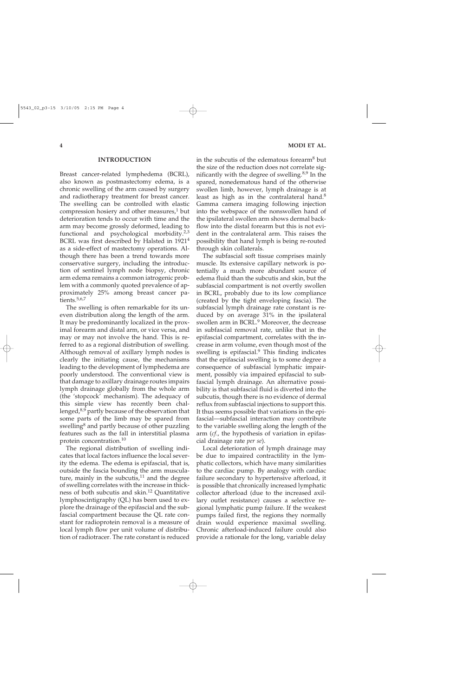#### **INTRODUCTION**

Breast cancer-related lymphedema (BCRL), also known as postmastectomy edema, is a chronic swelling of the arm caused by surgery and radiotherapy treatment for breast cancer. The swelling can be controlled with elastic compression hosiery and other measures,<sup>1</sup> but deterioration tends to occur with time and the arm may become grossly deformed, leading to functional and psychological morbidity.2,3 BCRL was first described by Halsted in 1921<sup>4</sup> as a side-effect of mastectomy operations. Although there has been a trend towards more conservative surgery, including the introduction of sentinel lymph node biopsy, chronic arm edema remains a common iatrogenic problem with a commonly quoted prevalence of approximately 25% among breast cancer patients.<sup>5,6,7</sup>

The swelling is often remarkable for its uneven distribution along the length of the arm. It may be predominantly localized in the proximal forearm and distal arm, or vice versa, and may or may not involve the hand. This is referred to as a regional distribution of swelling. Although removal of axillary lymph nodes is clearly the initiating cause, the mechanisms leading to the development of lymphedema are poorly understood. The conventional view is that damage to axillary drainage routes impairs lymph drainage globally from the whole arm (the 'stopcock' mechanism). The adequacy of this simple view has recently been challenged,<sup>8,9</sup> partly because of the observation that some parts of the limb may be spared from swelling<sup>8</sup> and partly because of other puzzling features such as the fall in interstitial plasma protein concentration.<sup>10</sup>

The regional distribution of swelling indicates that local factors influence the local severity the edema. The edema is epifascial, that is, outside the fascia bounding the arm musculature, mainly in the subcutis, $11$  and the degree of swelling correlates with the increase in thickness of both subcutis and skin.<sup>12</sup> Quantitative lymphoscintigraphy (QL) has been used to explore the drainage of the epifascial and the subfascial compartment because the QL rate constant for radioprotein removal is a measure of local lymph flow per unit volume of distribution of radiotracer. The rate constant is reduced

in the subcutis of the edematous forearm8 but the size of the reduction does not correlate significantly with the degree of swelling. $8,9$  In the spared, nonedematous hand of the otherwise swollen limb, however, lymph drainage is at least as high as in the contralateral hand.<sup>8</sup> Gamma camera imaging following injection into the webspace of the nonswollen hand of the ipsilateral swollen arm shows dermal backflow into the distal forearm but this is not evident in the contralateral arm. This raises the possibility that hand lymph is being re-routed through skin collaterals.

The subfascial soft tissue comprises mainly muscle. Its extensive capillary network is potentially a much more abundant source of edema fluid than the subcutis and skin, but the subfascial compartment is not overtly swollen in BCRL, probably due to its low compliance (created by the tight enveloping fascia). The subfascial lymph drainage rate constant is reduced by on average 31% in the ipsilateral swollen arm in BCRL.<sup>9</sup> Moreover, the decrease in subfascial removal rate, unlike that in the epifascial compartment, correlates with the increase in arm volume, even though most of the swelling is epifascial.<sup>9</sup> This finding indicates that the epifascial swelling is to some degree a consequence of subfascial lymphatic impairment, possibly via impaired epifascial to subfascial lymph drainage. An alternative possibility is that subfascial fluid is diverted into the subcutis, though there is no evidence of dermal reflux from subfascial injections to support this. It thus seems possible that variations in the epifascial—subfascial interaction may contribute to the variable swelling along the length of the arm (*cf*., the hypothesis of variation in epifascial drainage rate *per se*).

Local deterioration of lymph drainage may be due to impaired contractility in the lymphatic collectors, which have many similarities to the cardiac pump. By analogy with cardiac failure secondary to hypertensive afterload, it is possible that chronically increased lymphatic collector afterload (due to the increased axillary outlet resistance) causes a selective regional lymphatic pump failure. If the weakest pumps failed first, the regions they normally drain would experience maximal swelling. Chronic afterload-induced failure could also provide a rationale for the long, variable delay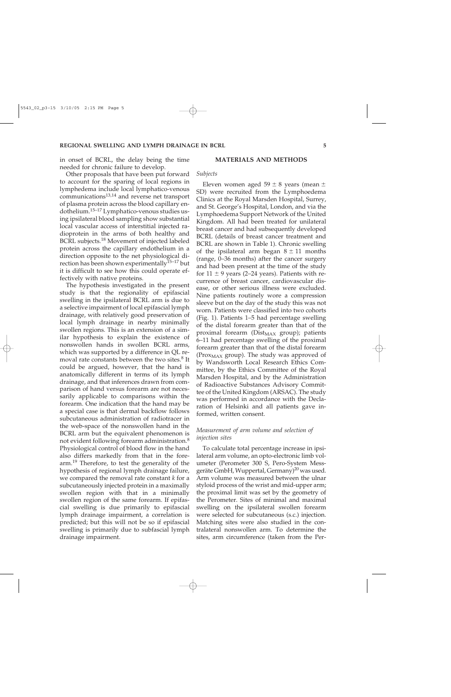in onset of BCRL, the delay being the time needed for chronic failure to develop.

## **MATERIALS AND METHODS**

Other proposals that have been put forward to account for the sparing of local regions in lymphedema include local lymphatico-venous communications13,14 and reverse net transport of plasma protein across the blood capillary endothelium.15–17 Lymphatico-venous studies using ipsilateral blood sampling show substantial local vascular access of interstitial injected radioprotein in the arms of both healthy and BCRL subjects.18 Movement of injected labeled protein across the capillary endothelium in a direction opposite to the net physiological direction has been shown experimentally<sup>15–17</sup> but it is difficult to see how this could operate effectively with native proteins.

The hypothesis investigated in the present study is that the regionality of epifascial swelling in the ipsilateral BCRL arm is due to a selective impairment of local epifascial lymph drainage, with relatively good preservation of local lymph drainage in nearby minimally swollen regions. This is an extension of a similar hypothesis to explain the existence of nonswollen hands in swollen BCRL arms, which was supported by a difference in QL removal rate constants between the two sites.<sup>8</sup> It could be argued, however, that the hand is anatomically different in terms of its lymph drainage, and that inferences drawn from comparison of hand versus forearm are not necessarily applicable to comparisons within the forearm. One indication that the hand may be a special case is that dermal backflow follows subcutaneous administration of radiotracer in the web-space of the nonswollen hand in the BCRL arm but the equivalent phenomenon is not evident following forearm administration.<sup>8</sup> Physiological control of blood flow in the hand also differs markedly from that in the forearm.19 Therefore, to test the generality of the hypothesis of regional lymph drainage failure, we compared the removal rate constant *k* for a subcutaneously injected protein in a maximally swollen region with that in a minimally swollen region of the same forearm. If epifascial swelling is due primarily to epifascial lymph drainage impairment, a correlation is predicted; but this will not be so if epifascial swelling is primarily due to subfascial lymph drainage impairment.

#### *Subjects*

Eleven women aged  $59 \pm 8$  years (mean  $\pm$ SD) were recruited from the Lymphoedema Clinics at the Royal Marsden Hospital, Surrey, and St. George's Hospital, London, and via the Lymphoedema Support Network of the United Kingdom. All had been treated for unilateral breast cancer and had subsequently developed BCRL (details of breast cancer treatment and BCRL are shown in Table 1). Chronic swelling of the ipsilateral arm began  $8 \pm 11$  months (range, 0–36 months) after the cancer surgery and had been present at the time of the study for  $11 \pm 9$  years (2–24 years). Patients with recurrence of breast cancer, cardiovascular disease, or other serious illness were excluded. Nine patients routinely wore a compression sleeve but on the day of the study this was not worn. Patients were classified into two cohorts (Fig. 1). Patients 1–5 had percentage swelling of the distal forearm greater than that of the proximal forearm ( $Dist_{MAX}$  group); patients 6–11 had percentage swelling of the proximal forearm greater than that of the distal forearm ( $Prox_{MAX}$  group). The study was approved of by Wandsworth Local Research Ethics Committee, by the Ethics Committee of the Royal Marsden Hospital, and by the Administration of Radioactive Substances Advisory Committee of the United Kingdom (ARSAC). The study was performed in accordance with the Declaration of Helsinki and all patients gave informed, written consent.

## *Measurement of arm volume and selection of injection sites*

To calculate total percentage increase in ipsilateral arm volume, an opto-electronic limb volumeter (Perometer 300 S, Pero-System Messgeräte GmbH, Wuppertal, Germany)<sup>20</sup> was used. Arm volume was measured between the ulnar styloid process of the wrist and mid-upper arm; the proximal limit was set by the geometry of the Perometer. Sites of minimal and maximal swelling on the ipsilateral swollen forearm were selected for subcutaneous (s.c.) injection. Matching sites were also studied in the contralateral nonswollen arm. To determine the sites, arm circumference (taken from the Per-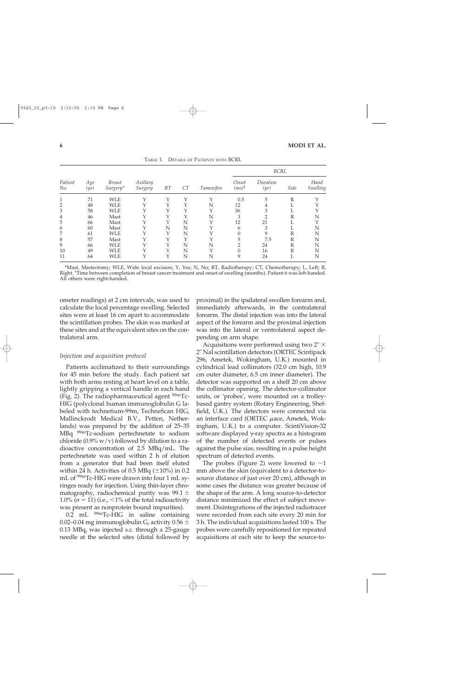| Patient<br>No. | Age<br>(yr) | <b>Breast</b><br>Surgery* | Axillary<br>Surgery | RT | ${\cal C}{\cal T}$ | Tamoxifen   | <b>BCRL</b>         |                  |              |                  |
|----------------|-------------|---------------------------|---------------------|----|--------------------|-------------|---------------------|------------------|--------------|------------------|
|                |             |                           |                     |    |                    |             | Onset<br>$(mo)^{+}$ | Duration<br>(yr) | Side         | Hand<br>Swelling |
|                | 71          | <b>WLE</b>                | Υ                   |    | $\check{ }$        | $\check{ }$ | 0.5                 | 5                | $\mathbb{R}$ |                  |
| 2              | 48          | <b>WLE</b>                |                     |    |                    | N           | 12                  |                  |              |                  |
| 3              | 58          | <b>WLE</b>                |                     |    |                    |             | 36                  |                  |              |                  |
| 4              | 46          | Mast                      |                     |    |                    | N           | 3                   |                  | R            | N                |
| 5              | 66          | Mast                      |                     |    | N                  |             | 12                  | 21               |              |                  |
| 6              | 60          | Mast                      |                     | N  | N                  |             | 6                   | 3                |              | N                |
| 7              | 61          | <b>WLE</b>                |                     |    | N                  |             |                     | 9                | R            | N                |
| 8              | 57          | Mast                      |                     |    | $\checkmark$       |             |                     | 7.5              | R            | N                |
| 9              | 66          | <b>WLE</b>                |                     |    | N                  | N           |                     | 24               | R            | N                |
| 10             | 49          | WLE                       |                     |    | N                  |             |                     | 16               | $\mathbb{R}$ | N                |
| 11             | 64          | <b>WLE</b>                |                     |    | N                  | N           | 9                   | 24               |              | N                |

TABLE 1. DETAILS OF PATIENTS WITH BCRL

\*Mast, Mastectomy; WLE, Wide local excision; Y, Yes; N, No; RT, Radiotherapy; CT, Chemotherapy; L, Left; R, Right. †Time between completion of breast cancer treatment and onset of swelling (months). Patient 6 was left-handed. All others were right-handed.

ometer readings) at 2 cm intervals, was used to calculate the local percentage swelling. Selected sites were at least 16 cm apart to accommodate the scintillation probes. The skin was marked at these sites and at the equivalent sites on the contralateral arm.

#### *Injection and acquisition protocol*

Patients acclimatized to their surroundings for 45 min before the study. Each patient sat with both arms resting at heart level on a table, lightly gripping a vertical handle in each hand (Fig. 2). The radiopharmaceutical agent  $99mTc$ -HIG (polyclonal human immunoglobulin G labeled with technetium-99m, TechneScan HIG, Mallinckrodt Medical B.V., Petten, Netherlands) was prepared by the addition of 25–35 MBq <sup>99m</sup>Tc-sodium pertechnetate to sodium chloride (0.9%  $w/v$ ) followed by dilution to a radioactive concentration of 2.5 MBq/mL. The pertechnetate was used within 2 h of elution from a generator that had been itself eluted within 24 h. Activities of 0.5 MBq  $(\pm 10\%)$  in 0.2 mL of <sup>99m</sup>Tc-HIG were drawn into four 1 mL syringes ready for injection. Using thin-layer chromatography, radiochemical purity was  $99.1 \pm$ 1.0%  $(n = 11)$  (i.e.,  $\leq$ 1% of the total radioactivity was present as nonprotein bound impurities).

0.2 mL <sup>99m</sup>Tc-HIG in saline containing 0.02–0.04 mg immunoglobulin G, activity 0.56  $\pm$ 0.13 MBq, was injected s.c. through a 25-gauge needle at the selected sites (distal followed by proximal) in the ipsilateral swollen forearm and, immediately afterwards, in the contralateral forearm. The distal injection was into the lateral aspect of the forearm and the proximal injection was into the lateral or ventrolateral aspect depending on arm shape.

Acquisitions were performed using two  $2" \times$ 2" NaI scintillation detectors (ORTEC Scintipack 296, Ametek, Wokingham, U.K.) mounted in cylindrical lead collimators (32.0 cm high, 10.9 cm outer diameter, 6.5 cm inner diameter). The detector was supported on a shelf 20 cm above the collimator opening. The detector-collimator units, or 'probes', were mounted on a trolleybased gantry system (Rotary Engineering, Sheffield, U.K.). The detectors were connected via an interface card (ORTEC  $\mu$ ace, Ametek, Wokingham, U.K.) to a computer. ScintiVision-32 software displayed  $\gamma$ -ray spectra as a histogram of the number of detected events or pulses against the pulse size, resulting in a pulse height spectrum of detected events.

The probes (Figure 2) were lowered to  $\sim$ 1 mm above the skin (equivalent to a detector-tosource distance of just over 20 cm), although in some cases the distance was greater because of the shape of the arm. A long source-to-detector distance minimized the effect of subject movement. Disintegrations of the injected radiotracer were recorded from each site every 20 min for 3 h. The individual acquisitions lasted 100 s. The probes were carefully repositioned for repeated acquisitions at each site to keep the source-to-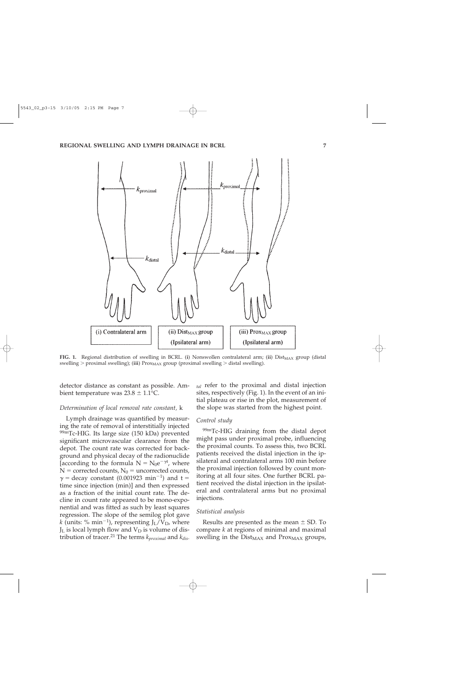

FIG. 1. Regional distribution of swelling in BCRL. (i) Nonswollen contralateral arm; (ii) Dist<sub>MAX</sub> group (distal swelling  $>$  proximal swelling); (iii) Prox<sub>MAX</sub> group (proximal swelling  $>$  distal swelling).

detector distance as constant as possible. Ambient temperature was  $23.8 \pm 1.1$ °C.

## *Determination of local removal rate constant,* k

Lymph drainage was quantified by measuring the rate of removal of interstitially injected  $99m$ Tc-HIG. Its large size (150 kDa) prevented significant microvascular clearance from the depot. The count rate was corrected for background and physical decay of the radionuclide [according to the formula  $N = N_0 e^{-\gamma t}$ , where  $N =$  corrected counts,  $N_0 =$  uncorrected counts,  $\gamma$  = decay constant (0.001923 min<sup>-1</sup>) and t = time since injection (min)] and then expressed as a fraction of the initial count rate. The decline in count rate appeared to be mono-exponential and was fitted as such by least squares regression. The slope of the semilog plot gave *k* (units: % min<sup>-1</sup>), representing  $J_L/V_D$ , where  $J<sub>L</sub>$  is local lymph flow and  $V<sub>D</sub>$  is volume of distribution of tracer.<sup>21</sup> The terms  $k_{proximal}$  and  $k_{dis}$ 

*tal* refer to the proximal and distal injection sites, respectively (Fig. 1). In the event of an initial plateau or rise in the plot, measurement of the slope was started from the highest point.

## *Control study*

99mTc-HIG draining from the distal depot might pass under proximal probe, influencing the proximal counts. To assess this, two BCRL patients received the distal injection in the ipsilateral and contralateral arms 100 min before the proximal injection followed by count monitoring at all four sites. One further BCRL patient received the distal injection in the ipsilateral and contralateral arms but no proximal injections.

## *Statistical analysis*

Results are presented as the mean  $\pm$  SD. To compare *k* at regions of minimal and maximal swelling in the  $Dist_{MAX}$  and  $Prox_{MAX}$  groups,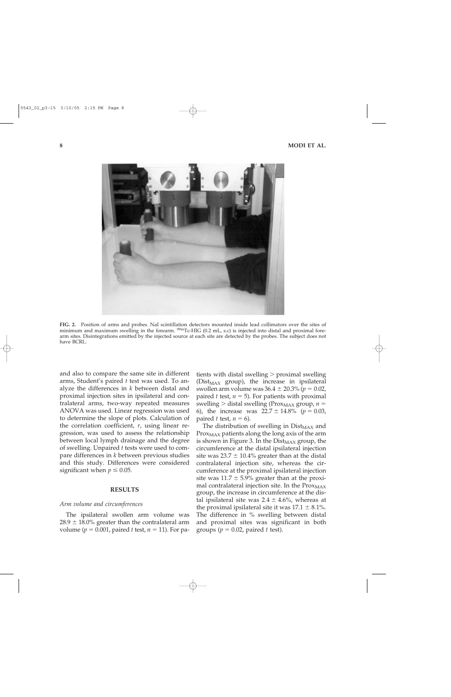

**FIG. 2.** Position of arms and probes. NaI scintillation detectors mounted inside lead collimators over the sites of minimum and maximum swelling in the forearm. <sup>99m</sup>Tc-HIG (0.2 mL, s.c) is injected into distal and proximal forearm sites. Disintegrations emitted by the injected source at each site are detected by the probes. The subject does not have BCRL.

and also to compare the same site in different arms, Student's paired *t* test was used. To analyze the differences in *k* between distal and proximal injection sites in ipsilateral and contralateral arms, two-way repeated measures ANOVA was used. Linear regression was used to determine the slope of plots. Calculation of the correlation coefficient, *r*, using linear regression, was used to assess the relationship between local lymph drainage and the degree of swelling. Unpaired *t* tests were used to compare differences in *k* between previous studies and this study. Differences were considered significant when  $p \leq 0.05$ .

## **RESULTS**

#### *Arm volume and circumferences*

The ipsilateral swollen arm volume was  $28.9 \pm 18.0\%$  greater than the contralateral arm volume ( $p = 0.001$ , paired *t* test,  $n = 11$ ). For patients with distal swelling  $>$  proximal swelling ( $Dist_{MAX}$  group), the increase in ipsilateral swollen arm volume was  $36.4 \pm 20.3\%$  ( $p = 0.02$ , paired  $t$  test,  $n = 5$ ). For patients with proximal  $swelling > distal swelling (Prox<sub>MAX</sub> group, *n* =$ 6), the increase was  $22.7 \pm 14.8$ % ( $p = 0.03$ ), paired  $t$  test,  $n = 6$ ).

The distribution of swelling in  $Dist_{MAX}$  and Prox<sub>MAX</sub> patients along the long axis of the arm is shown in Figure 3. In the  $Dist_{MAX}$  group, the circumference at the distal ipsilateral injection site was  $23.7 \pm 10.4\%$  greater than at the distal contralateral injection site, whereas the circumference at the proximal ipsilateral injection site was  $11.7 \pm 5.9\%$  greater than at the proximal contralateral injection site. In the  $Prox<sub>MAX</sub>$ group, the increase in circumference at the distal ipsilateral site was  $2.4 \pm 4.6\%$ , whereas at the proximal ipsilateral site it was  $17.1 \pm 8.1\%$ . The difference in % swelling between distal and proximal sites was significant in both groups ( $p = 0.02$ , paired *t* test).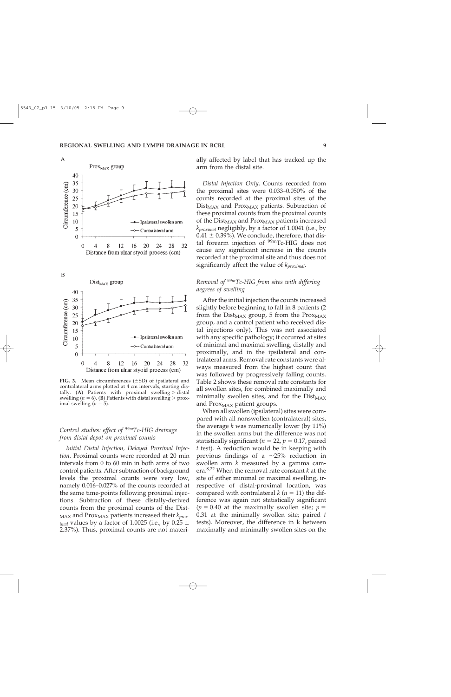



**FIG. 3.** Mean circumferences  $(\pm SD)$  of ipsilateral and contralateral arms plotted at 4 cm intervals, starting distally. (A) Patients with proximal swelling  $>$  distal swelling ( $n = 6$ ). (**B**) Patients with distal swelling  $>$  proximal swelling  $(n = 5)$ .

# *Control studies: effect of 99mTc-HIG drainage from distal depot on proximal counts*

*Initial Distal Injection, Delayed Proximal Injection*. Proximal counts were recorded at 20 min intervals from 0 to 60 min in both arms of two control patients. After subtraction of background levels the proximal counts were very low, namely 0.016–0.027% of the counts recorded at the same time-points following proximal injections. Subtraction of these distally-derived counts from the proximal counts of the Dist-MAX and Prox<sub>MAX</sub> patients increased their  $k_{prox}$ *imal* values by a factor of 1.0025 (i.e., by 0.25  $\pm$ 2.37%). Thus, proximal counts are not materially affected by label that has tracked up the arm from the distal site.

*Distal Injection Only*. Counts recorded from the proximal sites were 0.033–0.050% of the counts recorded at the proximal sites of the  $Dist_{MAX}$  and  $Prox_{MAX}$  patients. Subtraction of these proximal counts from the proximal counts of the  $Dist_{MAX}$  and  $Prox_{MAX}$  patients increased *kproximal* negligibly, by a factor of 1.0041 (i.e., by  $0.41 \pm 0.39\%$ ). We conclude, therefore, that distal forearm injection of <sup>99m</sup>Tc-HIG does not cause any significant increase in the counts recorded at the proximal site and thus does not significantly affect the value of *kproximal*.

# *Removal of 99mTc-HIG from sites with differing degrees of swelling*

After the initial injection the counts increased slightly before beginning to fall in 8 patients (2 from the Dist<sub>MAX</sub> group, 5 from the Prox<sub>MAX</sub> group, and a control patient who received distal injections only). This was not associated with any specific pathology; it occurred at sites of minimal and maximal swelling, distally and proximally, and in the ipsilateral and contralateral arms. Removal rate constants were always measured from the highest count that was followed by progressively falling counts. Table 2 shows these removal rate constants for all swollen sites, for combined maximally and minimally swollen sites, and for the  $Dist_{MAX}$ and  $Prox<sub>MAX</sub>$  patient groups.

When all swollen (ipsilateral) sites were compared with all nonswollen (contralateral) sites, the average *k* was numerically lower (by 11%) in the swollen arms but the difference was not statistically significant ( $n = 22$ ,  $p = 0.17$ , paired *t* test). A reduction would be in keeping with previous findings of a  $\sim$ 25% reduction in swollen arm *k* measured by a gamma camera.8,22 When the removal rate constant *k* at the site of either minimal or maximal swelling, irrespective of distal-proximal location, was compared with contralateral  $k$  ( $n = 11$ ) the difference was again not statistically significant  $(p = 0.40$  at the maximally swollen site;  $p =$ 0.31 at the minimally swollen site; paired *t* tests). Moreover, the difference in k between maximally and minimally swollen sites on the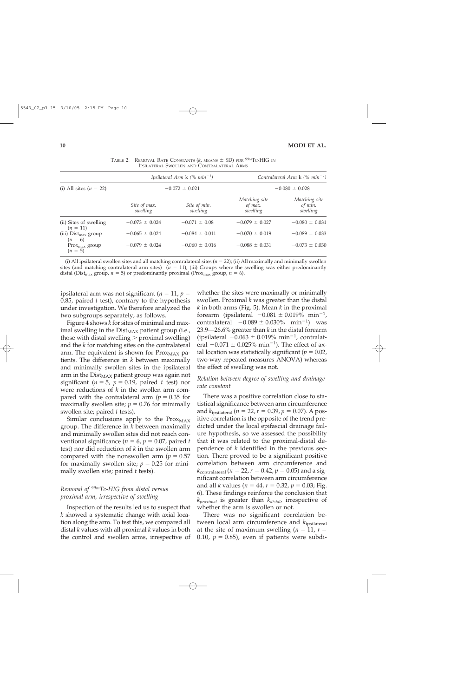|                                        |                          | Ipsilateral Arm $k$ (% min <sup>-1</sup> ) | Contralateral Arm $k$ (% min <sup>-1</sup> ) |                                      |  |  |
|----------------------------------------|--------------------------|--------------------------------------------|----------------------------------------------|--------------------------------------|--|--|
| (i) All sites $(n = 22)$               |                          | $-0.072 \pm 0.021$                         | $-0.080 \pm 0.028$                           |                                      |  |  |
|                                        | Site of max.<br>swelling | Site of min.<br>swelling                   | Matching site<br>of max.<br>swelling         | Matching site<br>of min.<br>swelling |  |  |
| (ii) Sites of swelling<br>$(n = 11)$   | $-0.073 \pm 0.024$       | $-0.071 \pm 0.08$                          | $-0.079 \pm 0.027$                           | $-0.080 \pm 0.031$                   |  |  |
| (iii) $Dist_{max}$ group<br>$(n = 6)$  | $-0.065 \pm 0.024$       | $-0.084 \pm 0.011$                         | $-0.070 \pm 0.019$                           | $-0.089 \pm 0.033$                   |  |  |
| Prox <sub>max</sub> group<br>$(n = 5)$ | $-0.079 \pm 0.024$       | $-0.060 \pm 0.016$                         | $-0.088 \pm 0.031$                           | $-0.073 \pm 0.030$                   |  |  |

TABLE 2. REMOVAL RATE CONSTANTS  $(k, \text{ MEANS} \pm SD)$  for <sup>99M</sup>TC-HIG IN IPSILATERAL SWOLLEN AND CONTRALATERAL ARMS

(i) All ipsilateral swollen sites and all matching contralateral sites ( $n = 22$ ); (ii) All maximally and minimally swollen sites (and matching contralateral arm sites)  $(n = 11)$ ; (iii) Groups where the swelling was either predominantly distal (Dist<sub>max</sub> group,  $n = 5$ ) or predominantly proximal (Prox<sub>max</sub> group,  $n = 6$ ).

ipsilateral arm was not significant ( $n = 11$ ,  $p =$ 0.85, paired *t* test), contrary to the hypothesis under investigation. We therefore analyzed the two subgroups separately, as follows.

Figure 4 shows *k* for sites of minimal and maximal swelling in the  $Dist_{MAX}$  patient group (i.e., those with distal swelling  $>$  proximal swelling) and the *k* for matching sites on the contralateral arm. The equivalent is shown for  $Prox<sub>MAX</sub>$  patients. The difference in *k* between maximally and minimally swollen sites in the ipsilateral arm in the  $Dist_{MAX}$  patient group was again not significant ( $n = 5$ ,  $p = 0.19$ , paired  $t$  test) nor were reductions of *k* in the swollen arm compared with the contralateral arm  $(p = 0.35)$  for maximally swollen site;  $p = 0.76$  for minimally swollen site; paired *t* tests).

Similar conclusions apply to the  $Prox<sub>MAX</sub>$ group. The difference in *k* between maximally and minimally swollen sites did not reach conventional significance ( $n = 6$ ,  $p = 0.07$ , paired *t* test) nor did reduction of *k* in the swollen arm compared with the nonswollen arm ( $p = 0.57$ ) for maximally swollen site;  $p = 0.25$  for minimally swollen site; paired *t* tests).

# *Removal of 99mTc-HIG from distal versus proximal arm, irrespective of swelling*

Inspection of the results led us to suspect that *k* showed a systematic change with axial location along the arm. To test this, we compared all distal *k* values with all proximal *k* values in both the control and swollen arms, irrespective of

whether the sites were maximally or minimally swollen. Proximal *k* was greater than the distal *k* in both arms (Fig. 5). Mean *k* in the proximal forearm (ipsilateral  $-0.081 \pm 0.019\%$  min<sup>-1</sup>, contralateral  $-0.089 \pm 0.030\%$  min<sup>-1</sup>) was 23.9—26.6% greater than *k* in the distal forearm (ipsilateral  $-0.063 \pm 0.019\%$  min<sup>-1</sup>, contralateral  $-0.071 \pm 0.025\%$  min<sup>-1</sup>). The effect of axial location was statistically significant ( $p = 0.02$ ) two-way repeated measures ANOVA) whereas the effect of swelling was not.

## *Relation between degree of swelling and drainage rate constant*

There was a positive correlation close to statistical significance between arm circumference and  $k_{\text{ipsilateral}}$  ( $n = 22$ ,  $r = 0.39$ ,  $p = 0.07$ ). A positive correlation is the opposite of the trend predicted under the local epifascial drainage failure hypothesis, so we assessed the possibility that it was related to the proximal-distal dependence of *k* identified in the previous section. There proved to be a significant positive correlation between arm circumference and  $k_{\rm contralateral}$  ( $n=$  22,  $r=$  0.42,  $p=$  0.05) and a significant correlation between arm circumference and all *k* values ( $n = 44$ ,  $r = 0.32$ ,  $p = 0.03$ ; Fig. 6). These findings reinforce the conclusion that *kproximal* is greater than *kdistal*, irrespective of whether the arm is swollen or not.

There was no significant correlation between local arm circumference and *k*ipsilateral at the site of maximum swelling ( $n = 11$ ,  $r =$ 0.10,  $p = 0.85$ ), even if patients were subdi-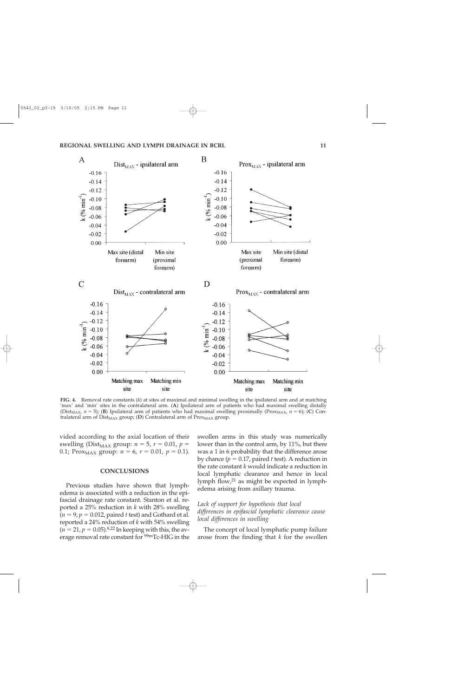

**FIG. 4.** Removal rate constants (*k*) at sites of maximal and minimal swelling in the ipsilateral arm and at matching 'max' and 'min' sites in the contralateral arm. (**A**) Ipsilateral arm of patients who had maximal swelling distally (Dist<sub>MAX</sub>,  $n = 5$ ); (**B**) Ipsilateral arm of patients who had maximal swelling proximally (Prox<sub>MAX</sub>,  $n = 6$ ); (**C**) Contralateral arm of  $Dist_{MAX}$  group; (D) Contralateral arm of  $Prox<sub>MAX</sub>$  group.

vided according to the axial location of their swelling (Dist<sub>MAX</sub> group:  $n = 5$ ,  $r = 0.01$ ,  $p =$ 0.1; Prox<sub>MAX</sub> group:  $n = 6$ ,  $r = 0.01$ ,  $p = 0.1$ ).

#### **CONCLUSIONS**

Previous studies have shown that lymphedema is associated with a reduction in the epifascial drainage rate constant. Stanton et al. reported a 25% reduction in *k* with 28% swelling  $(n = 9, p = 0.012,$  paired *t* test) and Gothard et al. reported a 24% reduction of *k* with 54% swelling  $(n = 21, p = 0.05).$ <sup>8,22</sup> In keeping with this, the average removal rate constant for 99mTc-HIG in the

swollen arms in this study was numerically lower than in the control arm, by 11%, but there was a 1 in 6 probability that the difference arose by chance  $(p = 0.17,$  paired  $t$  test). A reduction in the rate constant *k* would indicate a reduction in local lymphatic clearance and hence in local lymph flow,<sup>21</sup> as might be expected in lymphedema arising from axillary trauma.

# *Lack of support for hypothesis that local differences in epifascial lymphatic clearance cause local differences in swelling*

The concept of local lymphatic pump failure arose from the finding that *k* for the swollen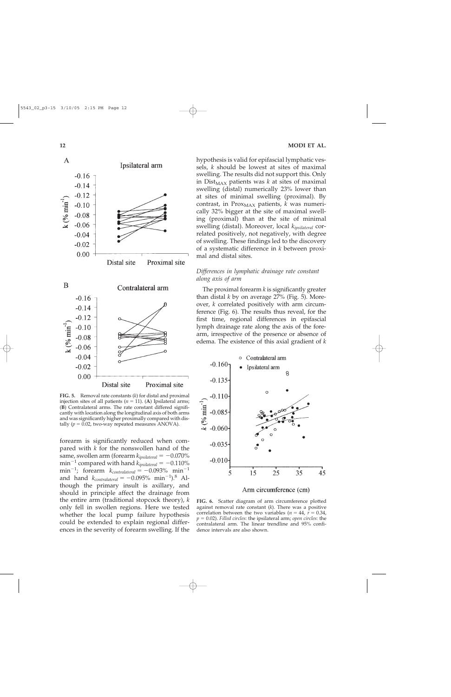

**FIG. 5.** Removal rate constants (*k*) for distal and proximal injection sites of all patients  $(n = 11)$ . (A) Ipsilateral arms; (**B**) Contralateral arms. The rate constant differed significantly with location along the longitudinal axis of both arms and was significantly higher proximally compared with distally  $(p = 0.02$ , two-way repeated measures ANOVA).

Proximal site

Distal site

 $-0.02$ 

 $0.00$ 

forearm is significantly reduced when compared with *k* for the nonswollen hand of the same, swollen arm (forearm  $k_{ipsilateral} = -0.070\%$  $min^{-1}$  compared with hand  $k_{ipsilateral} = -0.110\%$  $\text{min}^{-1}$ ; forearm  $k_{contralateral} = -0.093\% \text{ min}^{-1}$ and hand  $k_{contralateral} = -0.095\%$  min<sup>-1</sup>).<sup>8</sup> Although the primary insult is axillary, and should in principle affect the drainage from the entire arm (traditional stopcock theory), *k* only fell in swollen regions. Here we tested whether the local pump failure hypothesis could be extended to explain regional differences in the severity of forearm swelling. If the

hypothesis is valid for epifascial lymphatic vessels, *k* should be lowest at sites of maximal swelling. The results did not support this. Only in Dist $_{MAX}$  patients was *k* at sites of maximal swelling (distal) numerically 23% lower than at sites of minimal swelling (proximal). By contrast, in Pro $x_{MAX}$  patients, *k* was numerically 32% bigger at the site of maximal swelling (proximal) than at the site of minimal swelling (distal). Moreover, local *kipsilateral* correlated positively, not negatively, with degree of swelling. These findings led to the discovery of a systematic difference in *k* between proximal and distal sites.

# *Differences in lymphatic drainage rate constant along axis of arm*

The proximal forearm *k* is significantly greater than distal *k* by on average 27% (Fig. 5). Moreover, *k* correlated positively with arm circumference (Fig. 6). The results thus reveal, for the first time, regional differences in epifascial lymph drainage rate along the axis of the forearm, irrespective of the presence or absence of edema. The existence of this axial gradient of *k*



#### Arm circumference (cm)

**FIG. 6.** Scatter diagram of arm circumference plotted against removal rate constant (*k*). There was a positive correlation between the two variables ( $n = 44$ ,  $r = 0.34$ , *p* - 0.02). *Filled circles*: the ipsilateral arm; *open circles*: the contralateral arm. The linear trendline and 95% confidence intervals are also shown.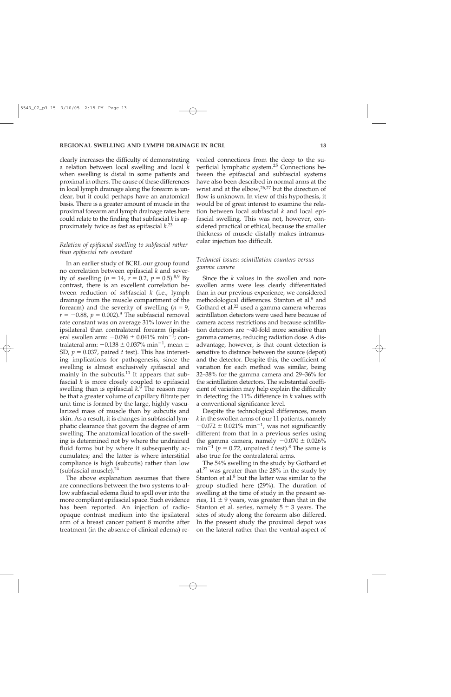clearly increases the difficulty of demonstrating a relation between local swelling and local *k* when swelling is distal in some patients and proximal in others. The cause of these differences in local lymph drainage along the forearm is unclear, but it could perhaps have an anatomical basis. There is a greater amount of muscle in the proximal forearm and lymph drainage rates here could relate to the finding that subfascial *k* is approximately twice as fast as epifascial *k*. 23

# *Relation of epifascial swelling to subfascial rather than epifascial rate constant*

In an earlier study of BCRL our group found no correlation between epifascial *k* and severity of swelling ( $n = 14$ ,  $r = 0.2$ ,  $p = 0.5$ ).<sup>8,9</sup> By contrast, there is an excellent correlation between reduction of *sub*fascial *k* (i.e., lymph drainage from the muscle compartment of the forearm) and the severity of swelling  $(n = 9)$ ,  $r = -0.88$ ,  $p = 0.002$ ).<sup>9</sup> The subfascial removal rate constant was on average 31% lower in the ipsilateral than contralateral forearm (ipsilateral swollen arm:  $-0.096 \pm 0.041\%$  min<sup>-1</sup>; contralateral arm:  $-0.138 \pm 0.037\%$  min<sup>-1</sup>, mean  $\pm$ SD,  $p = 0.037$ , paired  $t$  test). This has interesting implications for pathogenesis, since the swelling is almost exclusively *epi*fascial and mainly in the subcutis. $11$  It appears that subfascial *k* is more closely coupled to epifascial swelling than is epifascial *k*. <sup>9</sup> The reason may be that a greater volume of capillary filtrate per unit time is formed by the large, highly vascularized mass of muscle than by subcutis and skin. As a result, it is changes in subfascial lymphatic clearance that govern the degree of arm swelling. The anatomical location of the swelling is determined not by where the undrained fluid forms but by where it subsequently accumulates; and the latter is where interstitial compliance is high (subcutis) rather than low (subfascial muscle).<sup>24</sup>

The above explanation assumes that there are connections between the two systems to allow subfascial edema fluid to spill over into the more compliant epifascial space. Such evidence has been reported. An injection of radioopaque contrast medium into the ipsilateral arm of a breast cancer patient 8 months after treatment (in the absence of clinical edema) revealed connections from the deep to the superficial lymphatic system.<sup>25</sup> Connections between the epifascial and subfascial systems have also been described in normal arms at the wrist and at the elbow,  $26.27$  but the direction of flow is unknown. In view of this hypothesis, it would be of great interest to examine the relation between local subfascial *k* and local epifascial swelling. This was not, however, considered practical or ethical, because the smaller thickness of muscle distally makes intramuscular injection too difficult.

## *Technical issues: scintillation counters versus gamma camera*

Since the *k* values in the swollen and nonswollen arms were less clearly differentiated than in our previous experience, we considered methodological differences. Stanton et al.<sup>8</sup> and Gothard et al.<sup>22</sup> used a gamma camera whereas scintillation detectors were used here because of camera access restrictions and because scintillation detectors are  $\sim$ 40-fold more sensitive than gamma cameras, reducing radiation dose. A disadvantage, however, is that count detection is sensitive to distance between the source (depot) and the detector. Despite this, the coefficient of variation for each method was similar, being 32–38% for the gamma camera and 29–36% for the scintillation detectors. The substantial coefficient of variation may help explain the difficulty in detecting the 11% difference in *k* values with a conventional significance level.

Despite the technological differences, mean *k* in the swollen arms of our 11 patients, namely  $-0.072 \pm 0.021\%$  min<sup>-1</sup>, was not significantly different from that in a previous series using the gamma camera, namely  $-0.070 \pm 0.026\%$  $\min^{-1} (p = 0.72$ , unpaired *t* test).<sup>8</sup> The same is also true for the contralateral arms.

The 54% swelling in the study by Gothard et al.<sup>22</sup> was greater than the  $28\%$  in the study by Stanton et al. $8$  but the latter was similar to the group studied here (29%). The duration of swelling at the time of study in the present series,  $11 \pm 9$  years, was greater than that in the Stanton et al. series, namely  $5 \pm 3$  years. The sites of study along the forearm also differed. In the present study the proximal depot was on the lateral rather than the ventral aspect of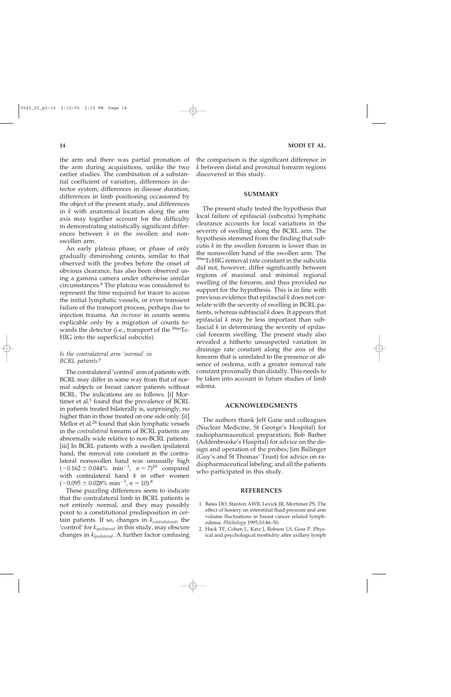the arm and there was partial pronation of the arm during acquisitions, unlike the two earlier studies. The combination of a substantial coefficient of variation, differences in detector system, differences in disease duration, differences in limb positioning occasioned by the object of the present study, and differences in *k* with anatomical location along the arm axis may together account for the difficulty in demonstrating statistically significant differences between *k* in the swollen and nonswollen arm.

An early plateau phase, or phase of only gradually diminishing counts, similar to that observed with the probes before the onset of obvious clearance, has also been observed using a gamma camera under otherwise similar circumstances.<sup>8</sup> The plateau was considered to represent the time required for tracer to access the initial lymphatic vessels, or even transient failure of the transport process, perhaps due to injection trauma. An *increase* in counts seems explicable only by a migration of counts towards the detector (i.e., transport of the  $99mTc$ -HIG into the superficial subcutis).

# *Is the contralateral arm 'normal' in BCRL patients?*

The contralateral 'control' arm of patients with BCRL may differ in some way from that of normal subjects or breast cancer patients without BCRL. The indications are as follows. [i] Mortimer et al. $5$  found that the prevalence of BCRL in patients treated bilaterally is, surprisingly, no higher than in those treated on one side only. [ii] Mellor et al.<sup>28</sup> found that skin lymphatic vessels in the *contralateral* forearm of BCRL patients are abnormally wide relative to non-BCRL patients. [iii] In BCRL patients with a swollen ipsilateral hand, the removal rate constant in the contralateral nonswollen hand was unusually high  $(-0.162 \pm 0.044\% \text{ min}^{-1}, \text{ } n = 7)^{29} \text{ compared}$ with contralateral hand *k* in other women  $(-0.095 \pm 0.028\% \text{ min}^{-1}, \textit{n} = 10).8$ 

These puzzling differences seem to indicate that the contralateral limb in BCRL patients is not entirely normal, and they may possibly point to a constitutional predisposition in certain patients. If so, changes in *kcontralateral*, the 'control' for *kipsilateral* in this study, may obscure changes in *kipsilateral*. A further factor confusing

the comparison is the significant difference in *k* between distal and proximal forearm regions discovered in this study.

#### **SUMMARY**

The present study tested the hypothesis that local failure of epifascial (subcutis) lymphatic clearance accounts for local variations in the severity of swelling along the BCRL arm. The hypothesis stemmed from the finding that subcutis *k* in the swollen forearm is lower than in the nonswollen hand of the swollen arm. The 99mTcHIG removal rate constant in the subcutis did not, however, differ significantly between regions of maximal and minimal regional swelling of the forearm, and thus provided no support for the hypothesis. This is in line with previous evidence that epifascial *k* does not correlate with the severity of swelling in BCRL patients, whereas subfascial *k* does. It appears that epifascial *k* may be less important than subfascial *k* in determining the severity of epifascial forearm swelling. The present study also revealed a hitherto unsuspected variation in drainage rate constant along the axis of the forearm that is unrelated to the presence or absence of oedema, with a greater removal rate constant proximally than distally. This needs to be taken into account in future studies of limb edema.

## **ACKNOWLEDGMENTS**

The authors thank Jeff Gane and colleagues (Nuclear Medicine, St George's Hospital) for radiopharmaceutical preparation; Bob Barber (Addenbrooke's Hospital) for advice on the design and operation of the probes; Jim Ballinger (Guy's and St Thomas' Trust) for advice on radiopharmaceutical labeling; and all the patients who participated in this study.

#### **REFERENCES**

- 1. Bates DO, Stanton AWB, Levick JR, Mortimer PS. The effect of hosiery on interstitial fluid pressure and arm volume fluctuations in breast cancer related lymphedema. *Phlebology* 1995;10:46–50.
- 2. Hack TF, Cohen L, Katz J, Robson LS, Goss P. Physical and psychological morbidity after axillary lymph